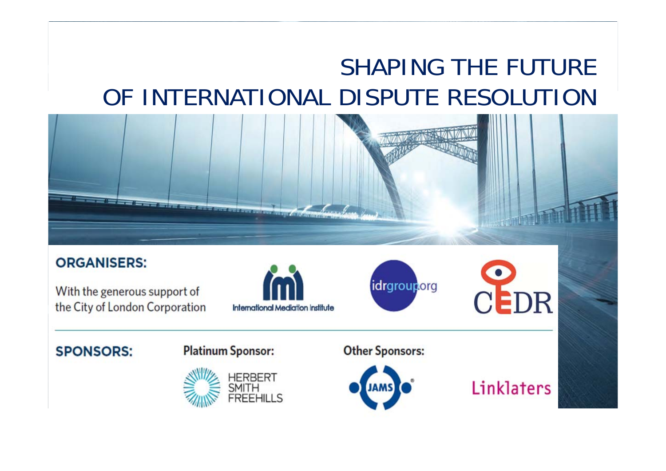# **INTERACTIVE CONVERTION AT THE FUTURE** OF INTERNATIONAL DISPUTE RESOLUTION



#### **ORGANISERS:**

With the generous support of the City of London Corporation



idrgrouporg



#### **SPONSORS:**

#### **Platinum Sponsor:**



**Other Sponsors:** 



Linklaters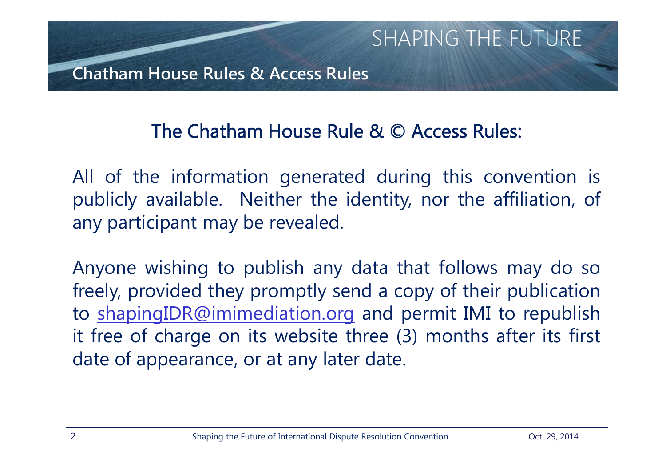# The Chatham House Rule & © Access Rules:

All of the information generated during this convention is publicly available. Neither the identity, nor the affiliation, of any participant may be revealed.

Anyone wishing to publish any data that follows may do so freely, provided they promptly send <sup>a</sup> copy of their publication to shapingIDR@imimediation.org and permit IMI to republish it free of charge on its website three (3) months after its first date of appearance, or at any later date.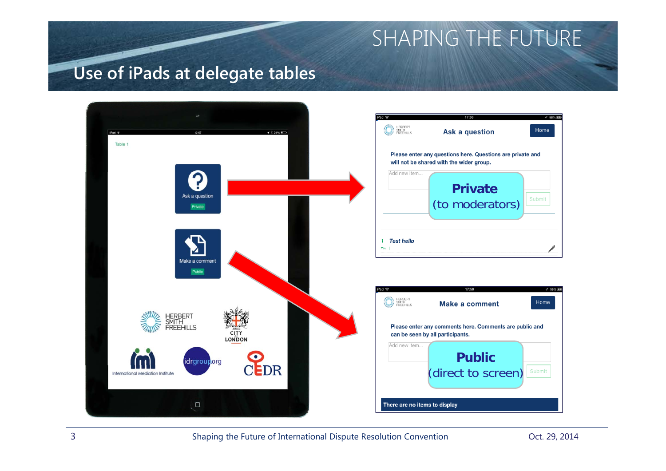### **Use of iPads at delegate tables**

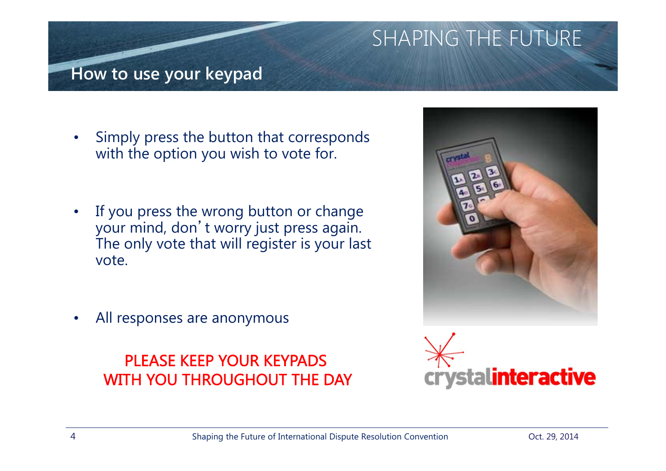### **How to use your keypad**

- • Simply press the button that corresponds with the option you wish to vote for.
- • If you press the wrong button or change your mind, don't worry just press again. The only vote that will register is your last vote.
- •All responses are anonymous

PLEASE KEEP YOUR KEYPADS WITH YOU THROUGHOUT THE DAY



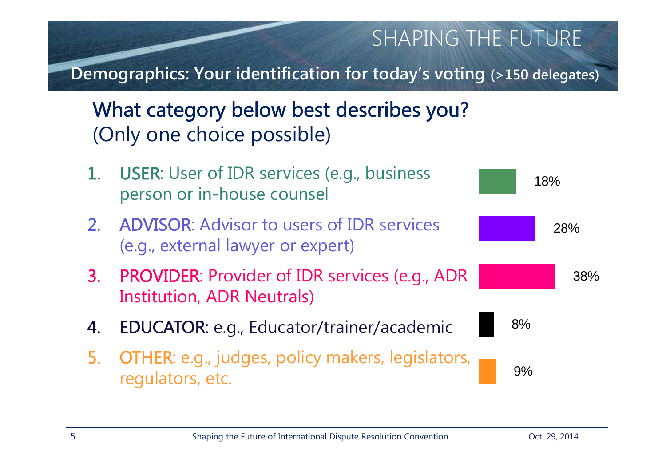**Demographics: Your identification for today's voting (>150 delegates)**

What category below best describes you? (Only one choice possible)

- 1. USER: User of IDR services (e.g., business person or in-house counsel
- 2. ADVISOR: Advisor to users of IDR services (e.g., external lawyer or expert)
- 3. PROVIDER: Provider of IDR services (e.g., ADR Institution, ADR Neutrals)
- 4. EDUCATOR: e.g., Educator/trainer/academic
- 5. OTHER: e.g., judges, policy makers, legislators, regulators, etc.

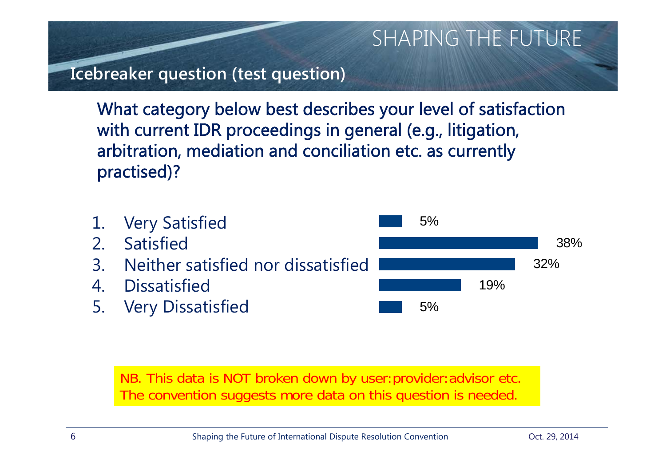### **Icebreaker question (test question)**

What category below best describes your level of satisfaction with current IDR proceedings in general (e.g., litigation, arbitration, mediation and conciliation etc. as currently practised)?



NB. This data is NOT broken down by user:provider:advisor etc. The convention suggests more data on this question is needed.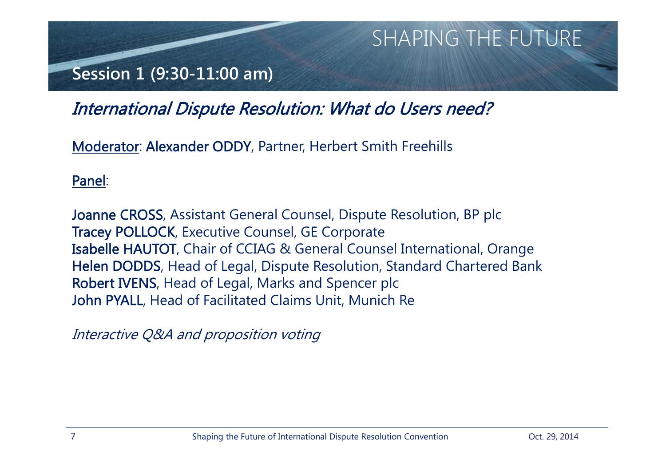### **Session 1 (9:30-11:00 am)**

## International Dispute Resolution: What do Users need?

Moderator: Alexander ODDY, Partner, Herbert Smith Freehills

Panel:

Joanne CROSS, Assistant General Counsel, Dispute Resolution, BP plc Tracey POLLOCK, Executive Counsel, GE Corporate Isabelle HAUTOT, Chair of CCIAG & General Counsel International, Orange Helen DODDS, Head of Legal, Dispute Resolution, Standard Chartered Bank Robert IVENS, Head of Legal, Marks and Spencer plc John PYALL, Head of Facilitated Claims Unit, Munich Re

Interactive Q&A and proposition voting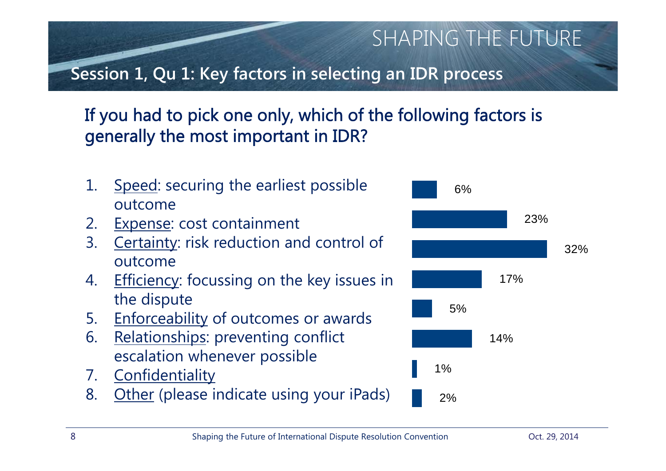**Session 1, Qu 1: Key factors in selecting an IDR process**

# If you had to pick one only, which of the following factors is generally the most important in IDR?

- 1. Speed: securing the earliest possible outcome
- 2. Expense: cost containment
- 3. Certainty: risk reduction and control of outcome
- 4. Efficiency: focussing on the key issues in the dispute
- 5. Enforceability of outcomes or awards
- 6. Relationships: preventing conflict escalation whenever possible
- 7. Confidentiality
- 8. Other (please indicate using your iPads)

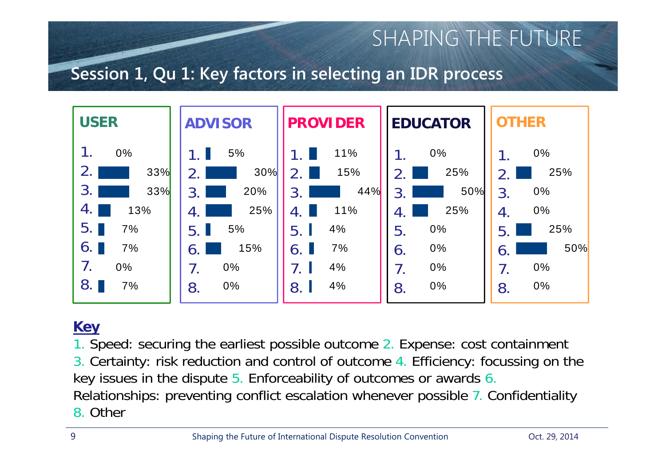### **Session 1, Qu 1: Key factors in selecting an IDR process**



### **Key**

1. Speed: securing the earliest possible outcome 2. Expense: cost containment 3. Certainty: risk reduction and control of outcome 4. Efficiency: focussing on the key issues in the dispute 5. Enforceability of outcomes or awards 6. Relationships: preventing conflict escalation whenever possible 7. Confidentiality 8. Other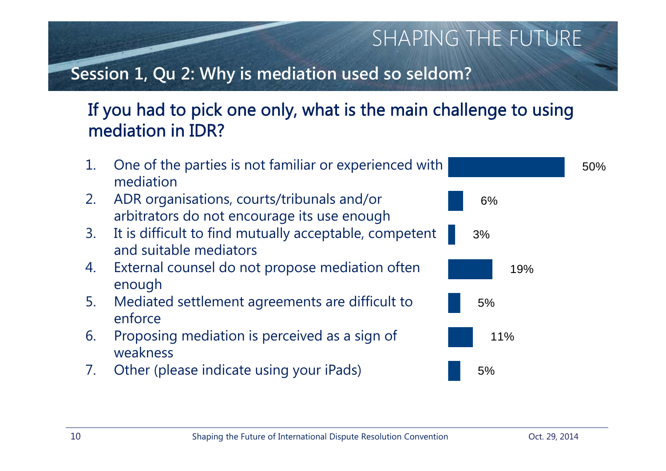### **Session 1, Qu 2: Why is mediation used so seldom?**

### If you had to pick one only, what is the main challenge to using mediation in IDR?

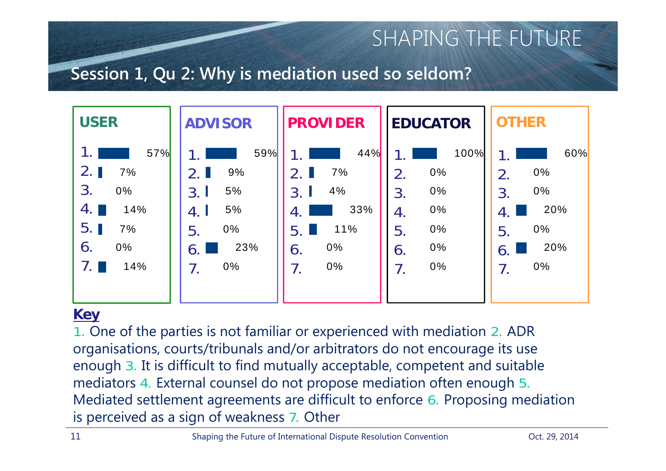### **Session 1, Qu 2: Why is mediation used so seldom?**

| <b>USER</b>                                                                     | <b>ADVISOR</b>                                                                   | <b>PROVIDER</b>                                                          | <b>EDUCATOR</b>                                                                  | <b>OTHER</b>                                                                                              |
|---------------------------------------------------------------------------------|----------------------------------------------------------------------------------|--------------------------------------------------------------------------|----------------------------------------------------------------------------------|-----------------------------------------------------------------------------------------------------------|
| 57%<br>2.1<br>7%<br>3.<br>$0\%$<br>4.<br>14%<br>5.1<br>7%<br>$0\%$<br>6.<br>14% | 59%<br>9%<br>2.1<br>5%<br>3.1<br>5%<br>4. I<br>0%<br>5.<br>23%<br>6.<br>0%<br>7. | 44%<br>7%<br>4%<br>3.<br>33%<br>-4.<br>11%<br>5.<br>0%<br>6.<br>0%<br>7. | 100%<br>0%<br>2.<br>0%<br>3.<br>0%<br>4.<br>0%<br>5.<br>0%<br>$\mathbf 6.$<br>0% | 60%<br>0%<br>2.<br>$0\%$<br>3 <sub>1</sub><br>20%<br>-4.<br>$0\%$<br>5.<br>20%<br>$\mathbf 6$<br>0%<br>7. |

#### **Key**

1. One of the parties is not familiar or experienced with mediation 2. ADR organisations, courts/tribunals and/or arbitrators do not encourage its use enough 3. It is difficult to find mutually acceptable, competent and suitable mediators 4. External counsel do not propose mediation often enough 5. Mediated settlement agreements are difficult to enforce 6. Proposing mediation is perceived as a sign of weakness 7. Other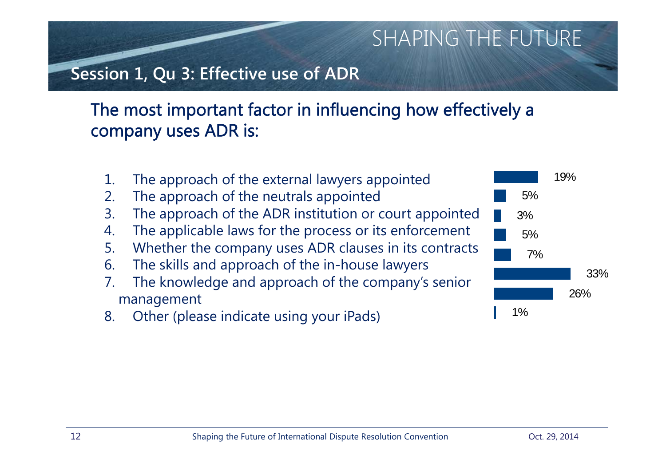### **Session 1, Qu 3: Effective use of ADR**

### The most important factor in influencing how effectively a company uses ADR is:

- 1. The approach of the external lawyers appointed
- 2. The approach of the neutrals appointed
- 3. The approach of the ADR institution or court appointed
- 4. The applicable laws for the process or its enforcement
- 5. Whether the company uses ADR clauses in its contracts
- 6. The skills and approach of the in-house lawyers
- 7. The knowledge and approach of the company's senior management
- 8. Other (please indicate using your iPads)

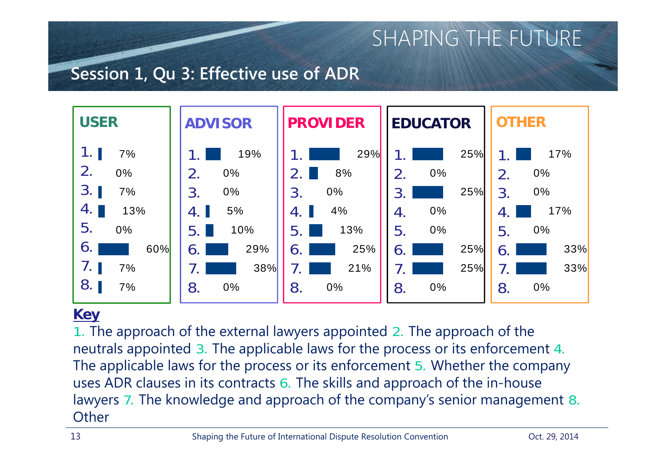### **Session 1, Qu 3: Effective use of ADR**



#### **Key**

1. The approach of the external lawyers appointed 2. The approach of the neutrals appointed 3. The applicable laws for the process or its enforcement 4. The applicable laws for the process or its enforcement 5. Whether the company uses ADR clauses in its contracts 6. The skills and approach of the in-house lawyers 7. The knowledge and approach of the company's senior management 8. **Other**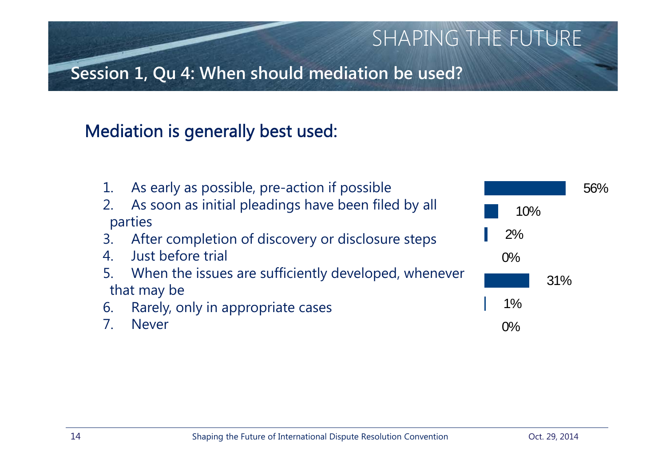**Session 1, Qu 4: When should mediation be used?**

# Mediation is generally best used:

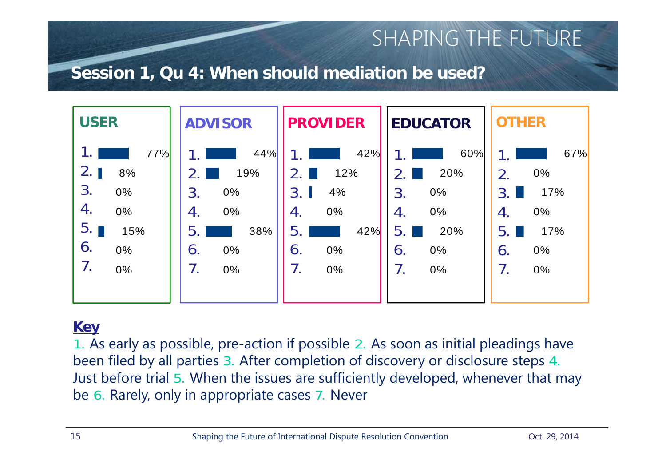### **Session 1, Qu 4: When should mediation be used?**



### **Key**

1. As early as possible, pre-action if possible 2. As soon as initial pleadings have been filed by all parties 3. After completion of discovery or disclosure steps 4. Just before trial 5. When the issues are sufficiently developed, whenever that may be 6. Rarely, only in appropriate cases 7. Never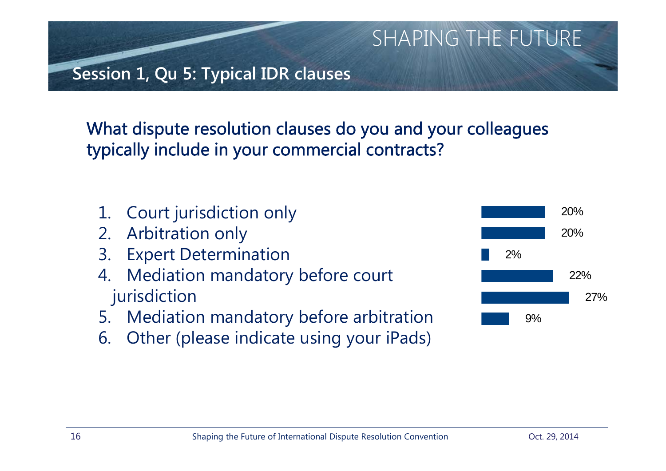**Session 1, Qu 5: Typical IDR clauses**

What dispute resolution clauses do you and your colleagues typically include in your commercial contracts?

- 1. Court jurisdiction only
- 2. Arbitration only
- 3. Expert Determination
- 4. Mediation mandatory before court jurisdiction
- 5. Mediation mandatory before arbitration
- 6. Other (please indicate using your iPads)

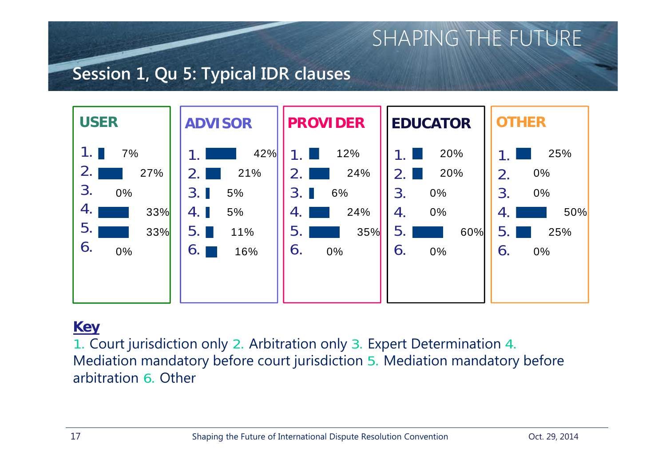### **Session 1, Qu 5: Typical IDR clauses**



### **Key**

1. Court jurisdiction only 2. Arbitration only 3. Expert Determination 4. Mediation mandatory before court jurisdiction 5. Mediation mandatory before arbitration 6. Other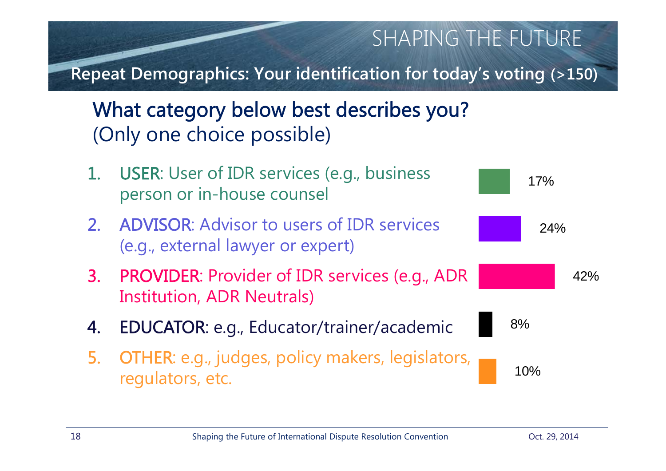**Repeat Demographics: Your identification for today's voting (>150)**

What category below best describes you? (Only one choice possible)

- 1. USER: User of IDR services (e.g., business person or in-house counsel
- 2. ADVISOR: Advisor to users of IDR services (e.g., external lawyer or expert)
- 3. PROVIDER: Provider of IDR services (e.g., ADR Institution, ADR Neutrals)
- 4. EDUCATOR: e.g., Educator/trainer/academic
- 5. OTHER: e.g., judges, policy makers, legislators, regulators, etc.

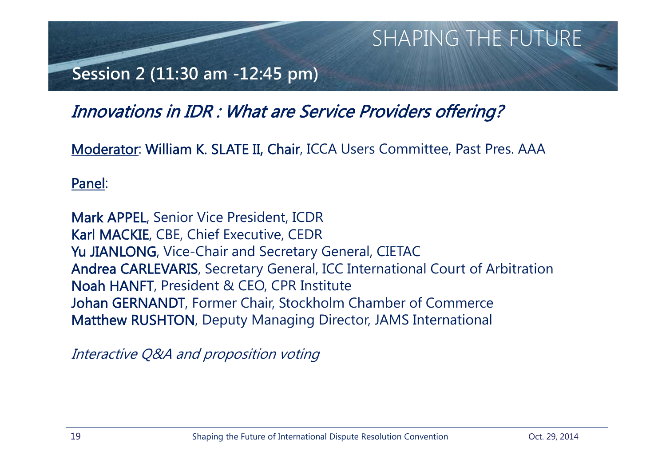### **Session 2 (11:30 am -12:45 pm)**

### Innovations in IDR : What are Service Providers offering?

Moderator: William K. SLATE II, Chair, ICCA Users Committee, Past Pres. AAA

#### Panel:

Mark APPEL, Senior Vice President, ICDR Karl MACKIE, CBE, Chief Executive, CEDR Yu JIANLONG, Vice-Chair and Secretary General, CIETAC Andrea CARLEVARIS, Secretary General, ICC International Court of Arbitration Noah HANFT, President & CEO, CPR Institute Johan GERNANDT, Former Chair, Stockholm Chamber of Commerce Matthew RUSHTON, Deputy Managing Director, JAMS International

Interactive Q&A and proposition voting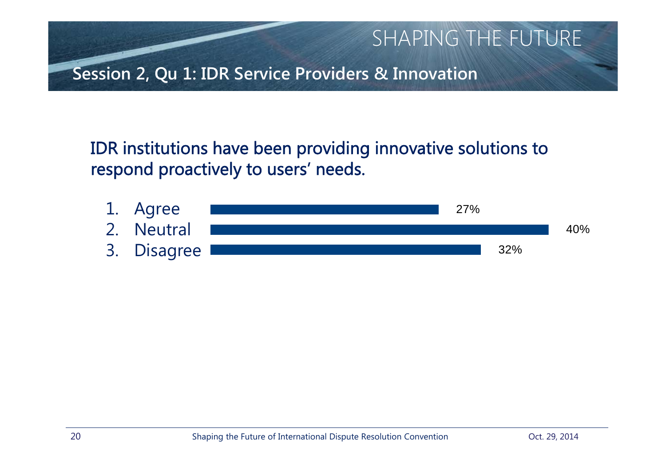

IDR institutions have been providing innovative solutions to respond proactively to users' needs.

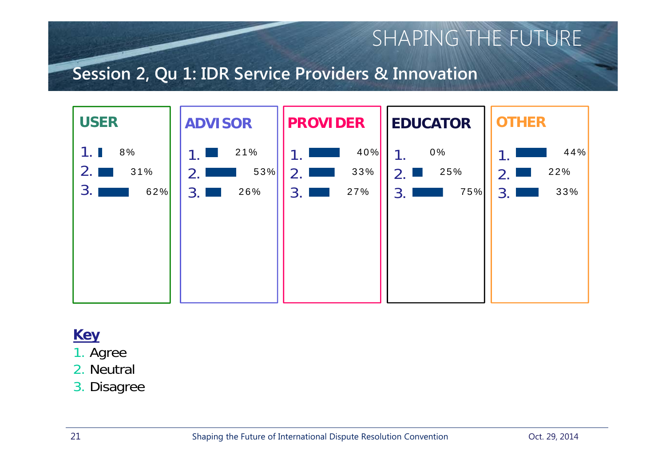### **Session 2, Qu 1: IDR Service Providers & Innovation**



### **Key**

- 1. Agree
- 2. Neutral
- 3. Disagree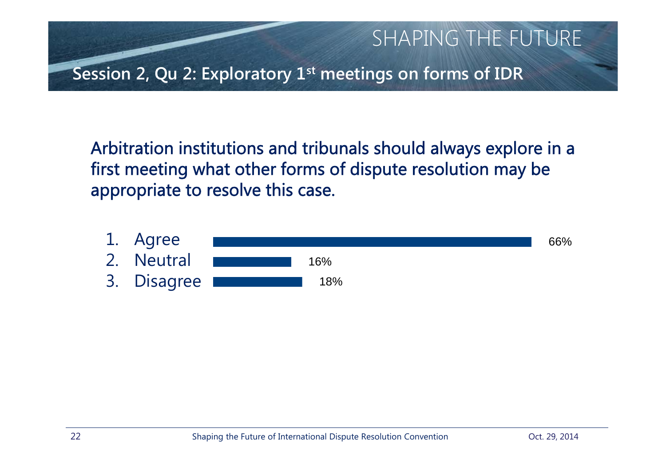

Arbitration institutions and tribunals should always explore in a first meeting what other forms of dispute resolution may be appropriate to resolve this case.

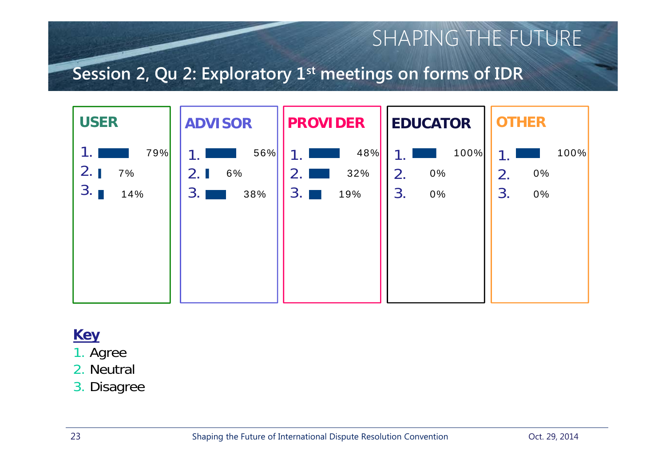### **Session 2, Qu 2: Exploratory 1st meetings on forms of IDR**



### **Key**

- 1. Agree
- 2. Neutral
- 3. Disagree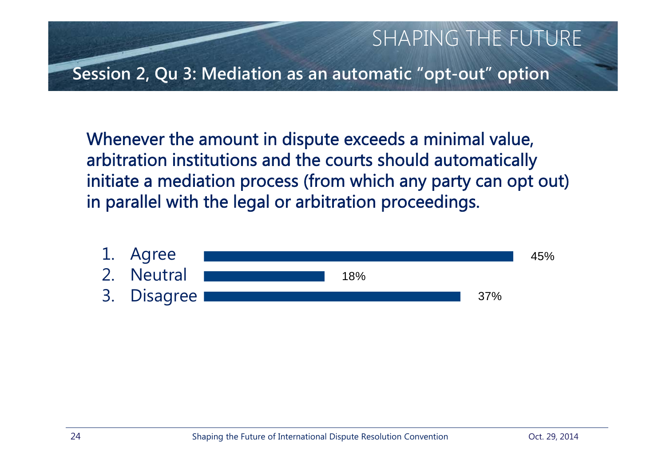

Whenever the amount in dispute exceeds a minimal value, arbitration institutions and the courts should automatically initiate a mediation process (from which any party can opt out) in parallel with the legal or arbitration proceedings.

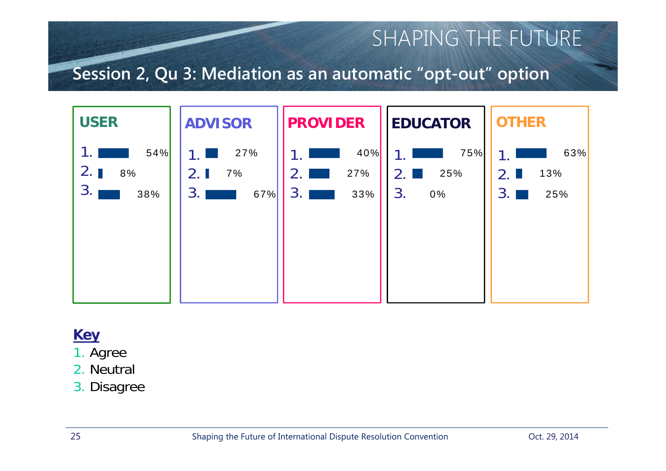### **Session 2, Qu 3: Mediation as an automatic "opt-out" option**



### **Key**

- 1. Agree
- 2. Neutral
- 3. Disagree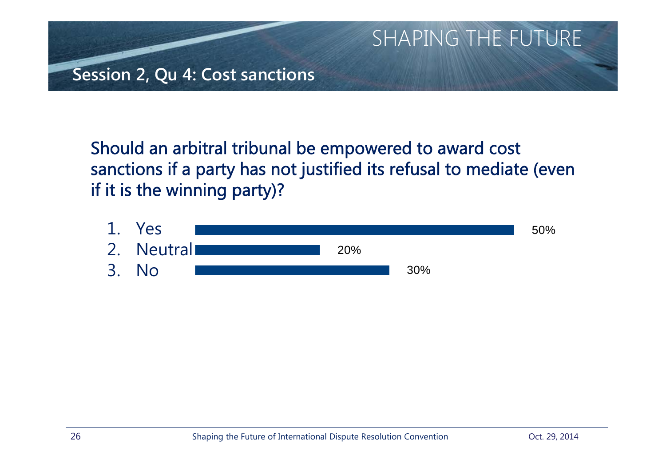

Should an arbitral tribunal be empowered to award cost sanctions if a party has not justified its refusal to mediate (even if it is the winning party)?

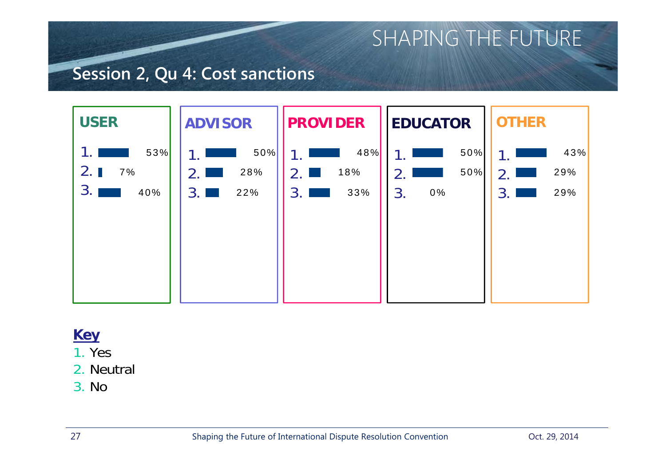### **Session 2, Qu 4: Cost sanctions**



### **Key**

- 1. Yes
- 2. Neutral
- 3. No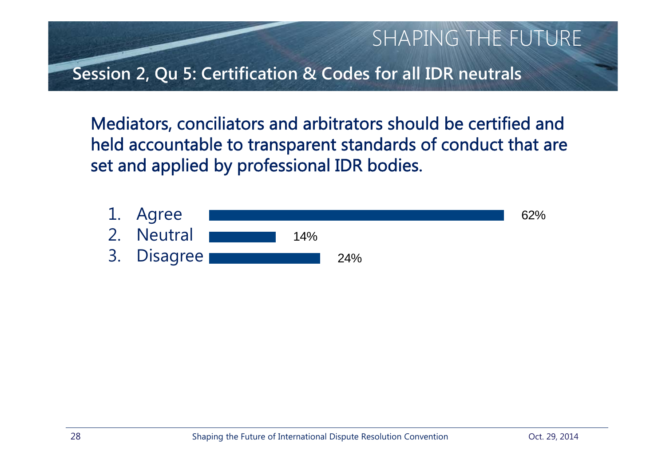

Mediators, conciliators and arbitrators should be certified and held accountable to transparent standards of conduct that are set and applied by professional IDR bodies.

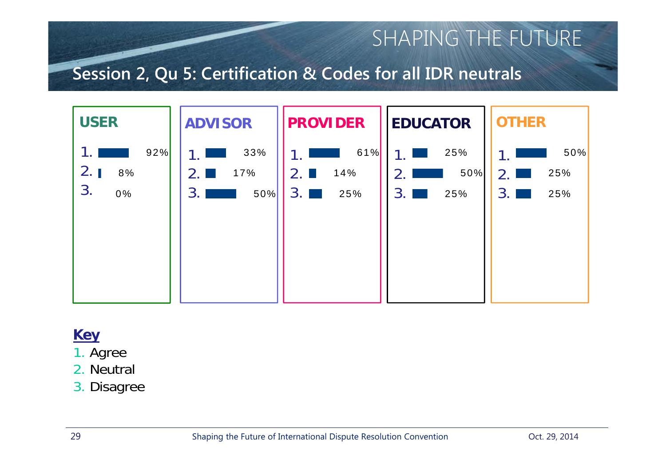### **Session 2, Qu 5: Certification & Codes for all IDR neutrals**



#### **Key**

- 1. Agree
- 2. Neutral
- 3. Disagree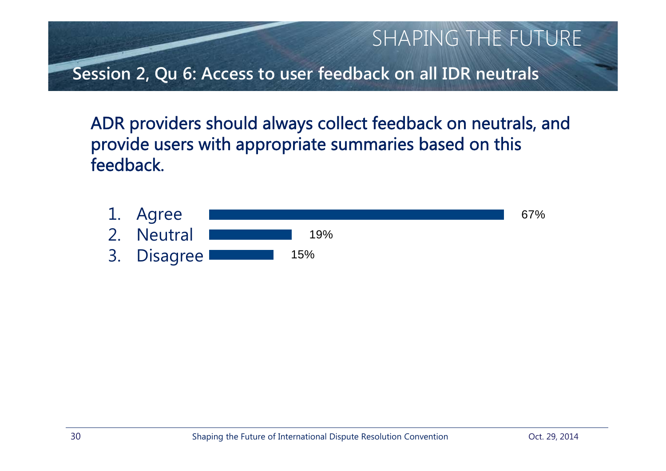

ADR providers should always collect feedback on neutrals, and provide users with appropriate summaries based on this feedback.

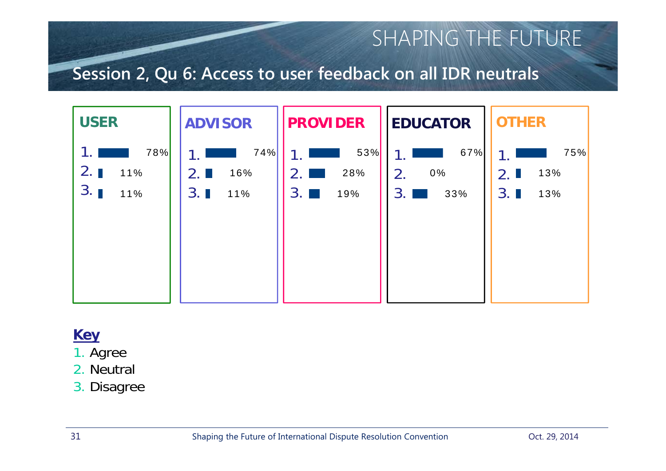### **Session 2, Qu 6: Access to user feedback on all IDR neutrals**



### **Key**

- 1. Agree
- 2. Neutral
- 3. Disagree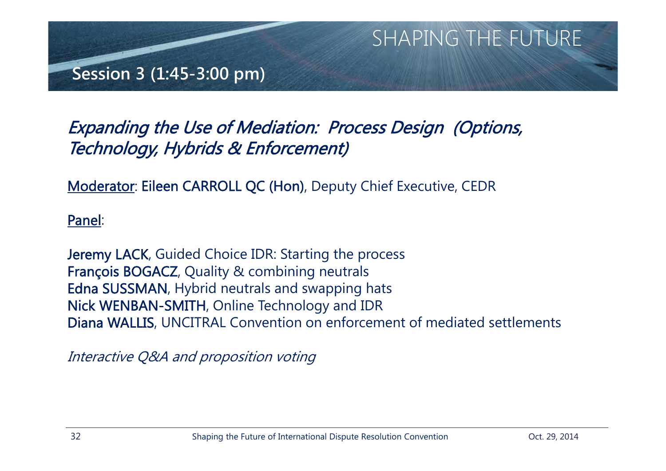

## Expanding the Use of Mediation: Process Design (Options, Technology, Hybrids & Enforcement)

Moderator: Eileen CARROLL QC (Hon), Deputy Chief Executive, CEDR

Panel:

Jeremy LACK, Guided Choice IDR: Starting the process François BOGACZ, Quality & combining neutrals Edna SUSSMAN, Hybrid neutrals and swapping hats Nick WENBAN-SMITH, Online Technology and IDR Diana WALLIS, UNCITRAL Convention on enforcement of mediated settlements

Interactive Q&A and proposition voting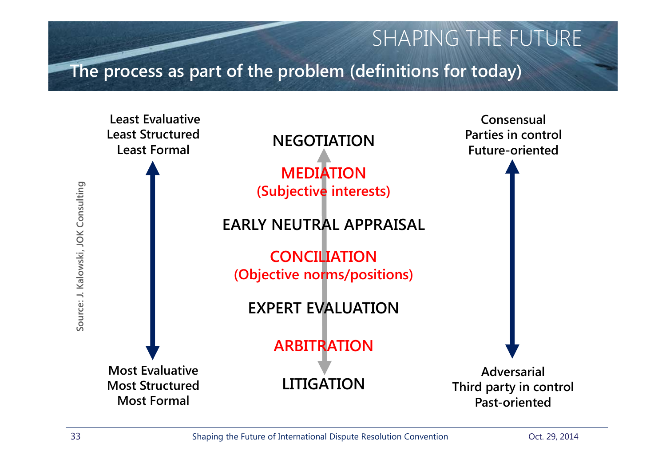**The process as part of the problem (definitions for today)**

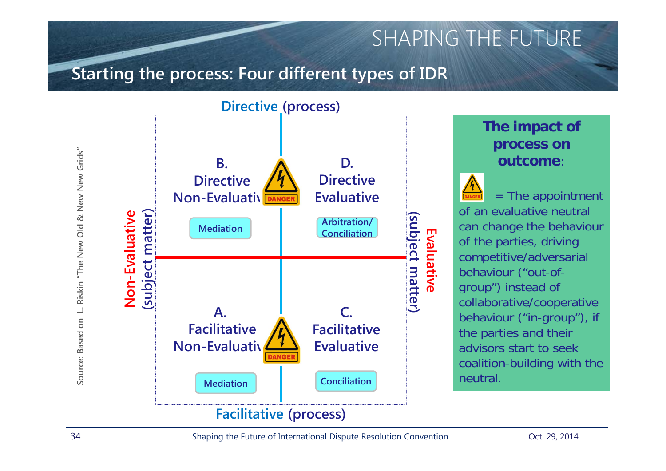### **Starting the process: Four different types of IDR**



#### **The impact of process on outcome**:

 $=$  The appointment of an evaluative neutral can change the behaviour of the parties, driving competitive/adversarial behaviour ("out-ofgroup") instead of collaborative/cooperative behaviour ("in-group"), if the parties and their advisors start to seek coalition-building with the neutral.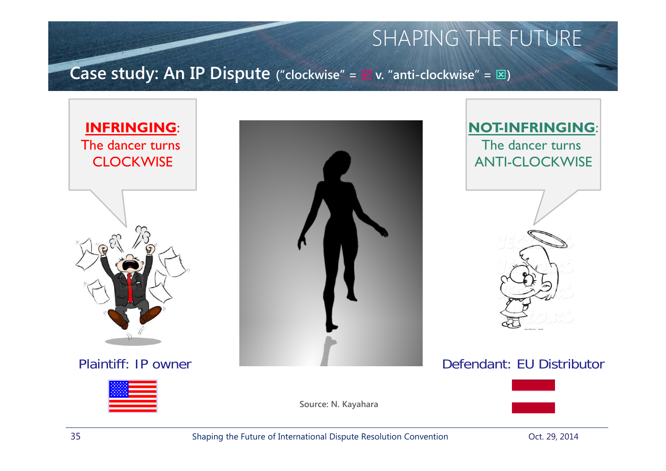### **Case study: An IP Dispute ("clockwise" <sup>=</sup> v. "anti-clockwise" <sup>=</sup>)**











**Source: N. Kayahara**



35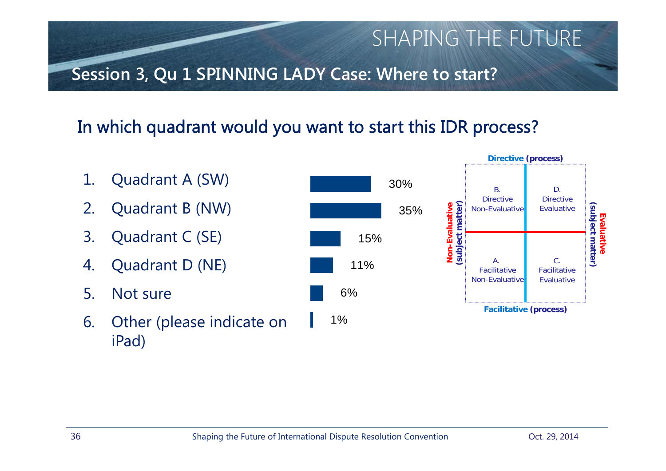# **Session 3, Qu 1 SPINNING LADY Case: Where to start?**

# In which quadrant would you want to start this IDR process?



SHAPING THE FUTURE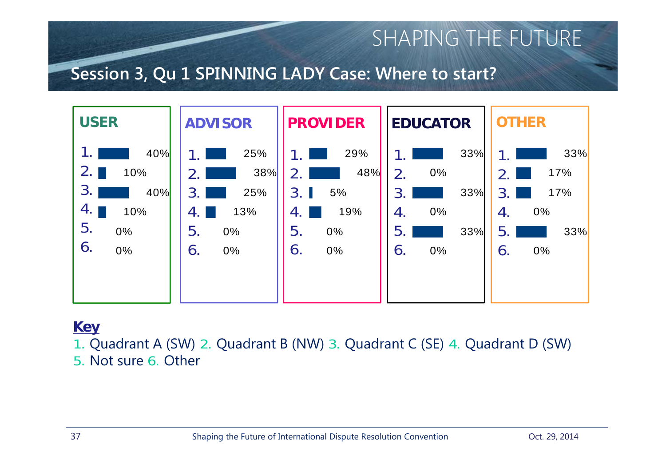### **Session 3, Qu 1 SPINNING LADY Case: Where to start?**



#### **Key**

1. Quadrant A (SW) 2. Quadrant B (NW) 3. Quadrant C (SE) 4. Quadrant D (SW) 5. Not sure 6. Other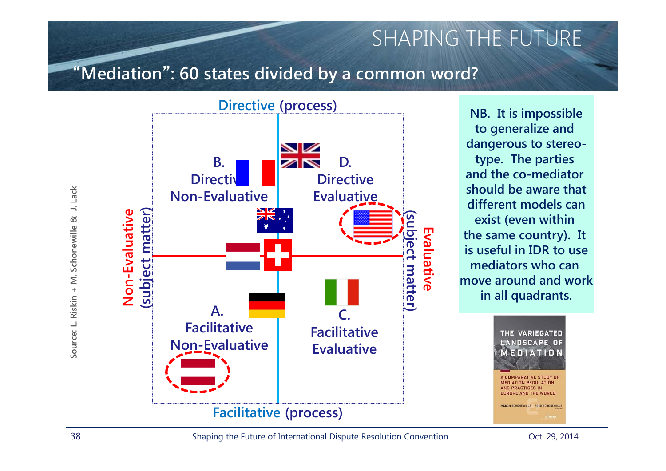### "**Mediation**"**: 60 states divided by a common word?**



**NB. It is impossible to generalize and dangerous to stereotype. The parties and the co-mediator should be aware thatdifferent models canexist (even within the same country). It is useful in IDR to usemediators who can move around and workin all quadrants.**



**MEDIATION REGULATION** AND PRACTICES IN **FUDDEE AND THE WORLD** 

MANON SCHONEWILLE FRED SCHONEWILL

**Source: L. Riskin + M. Schonewille & J. Lack** J. Lack Source: L. Riskin + M. Schonewille &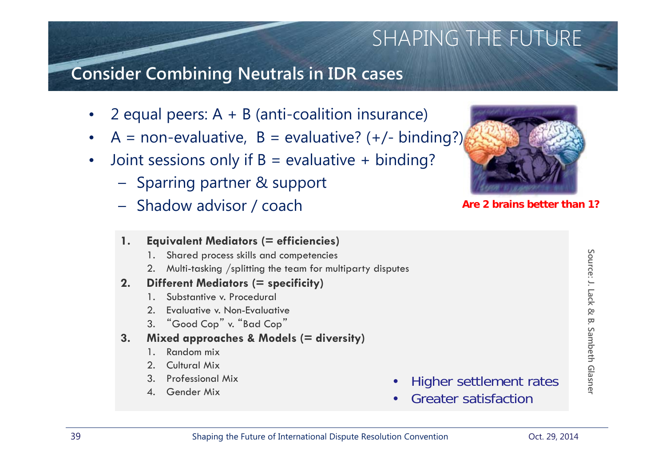### **Consider Combining Neutrals in IDR cases**

- •2 equal peers: A + B (anti-coalition insurance)
- •A = non-evaluative,  $B =$  evaluative? (+/- binding?)
- $\bullet$ Joint sessions only if  $B =$  evaluative + binding?
	- Sparring partner & support
	- Shadow advisor / coach

#### **1. Equivalent Mediators (= efficiencies)**

- 1. Shared process skills and competencies
- 2. Multi-tasking /splitting the team for multiparty disputes

#### **2. Different Mediators (= specificity)**

- 1. Substantive v. Procedural
- 2. Evaluative v. Non-Evaluative
- 3. "Good Cop" v. "Bad Cop"

#### **3. Mixed approaches & Models (= diversity)**

- 1. Random mix
- 2. Cultural Mix
- 3. Professional Mix
- 4. Gender Mix



**Are 2 brains better than 1?**

- •Higher settlement rates
- •Greater satisfaction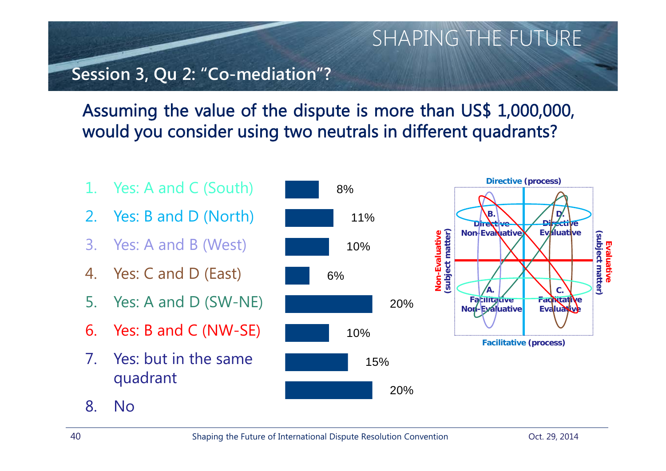### **Session 3, Qu 2: "Co-mediation"?**

## Assuming the value of the dispute is more than US\$ 1,000,000, would you consider using two neutrals in different quadrants?

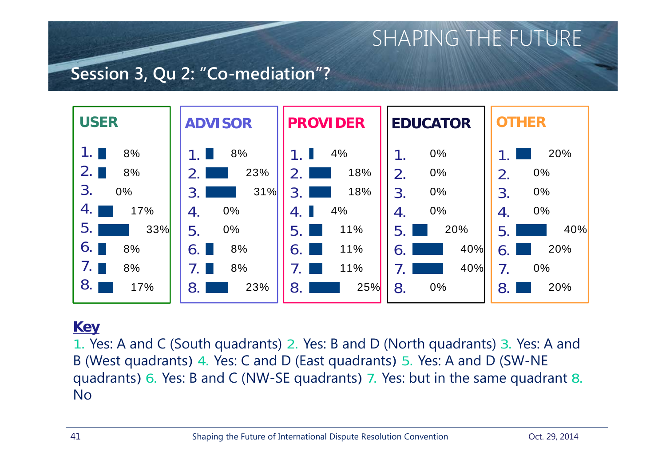### **Session 3, Qu 2: "Co-mediation"?**



#### **Key**

1. Yes: A and C (South quadrants) 2. Yes: B and D (North quadrants) 3. Yes: A and B (West quadrants) 4. Yes: C and D (East quadrants) 5. Yes: A and D (SW-NE quadrants) 6. Yes: B and C (NW-SE quadrants) 7. Yes: but in the same quadrant 8. No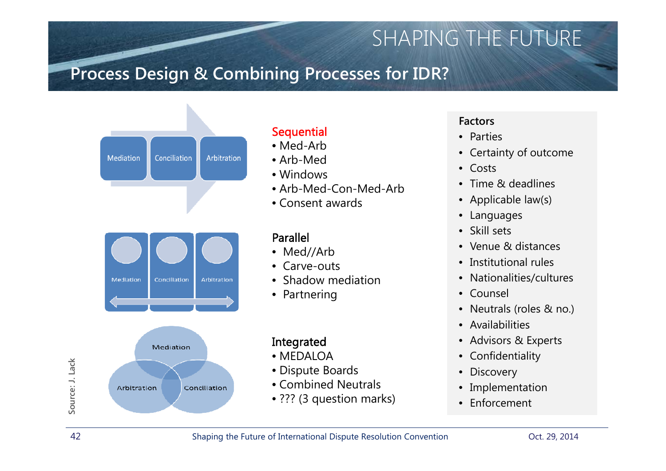### **Process Design & Combining Processes for IDR?**



#### **Sequential**

- Med-Arb
- Arb-Med
- Windows
- Arb-Med-Con-Med-Arb
- Consent awards

#### Parallel

- Med//Arb
- Carve-outs
- Shadow mediation
- Partnering

#### Integrated

- MEDALOA
- Dispute Boards
- Combined Neutrals
- ??? (3 question marks)

#### **Factors**

- Parties
- Certainty of outcome
- Costs
- •Time & deadlines
- $\bullet$ Applicable law(s)
- $\bullet$ Languages
- •Skill sets
- •Venue & distances
- Institutional rules
- $\bullet$ Nationalities/cultures
- Counsel
- $\bullet$ Neutrals (roles & no.)
- Availabilities
- Advisors & Experts
- $\bullet$ Confidentiality
- •**Discovery**
- $\bullet$ Implementation
- •Enforcement

**Source: J. Lack**

Source: J. Lack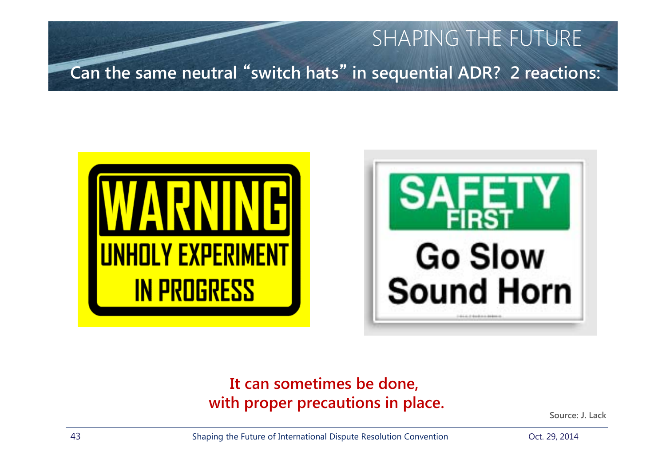



### **It can sometimes be done, with proper precautions in place.**

**Source: J. Lack**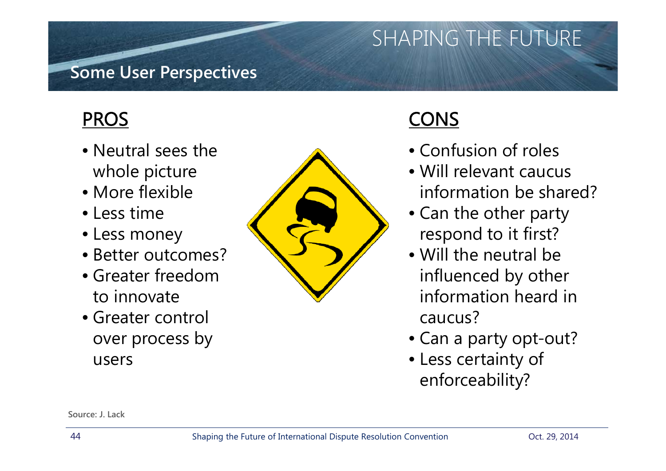### **Some User Perspectives**

## PROS

- Neutral sees the whole picture
- More flexible
- Less time
- Less money
- Better outcomes?
- Greater freedom to innovate
- Greater control over process by users



# CONS

- Confusion of roles
- Will relevant caucus information be shared?
- Can the other party respond to it first?
- Will the neutral be influenced by other information heard in caucus?
- Can a party opt-out?
- Less certainty of enforceability?

**Source: J. Lack**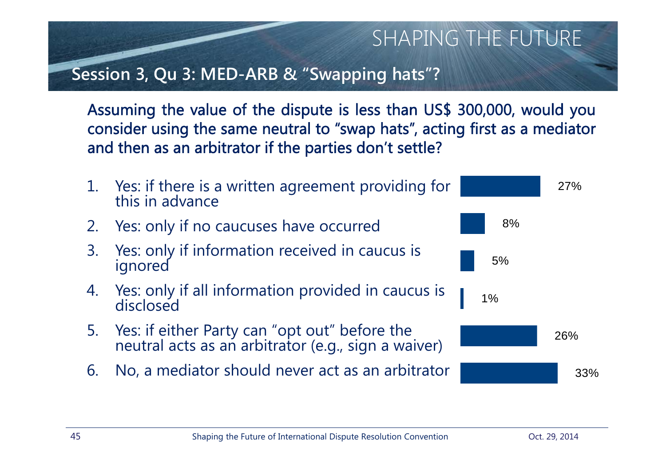### **Session 3, Qu 3: MED-ARB & "Swapping hats"?**

Assuming the value of the dispute is less than US\$ 300,000, would you consider using the same neutral to "swap hats", acting first as <sup>a</sup> mediator and then as an arbitrator if the parties don't settle?

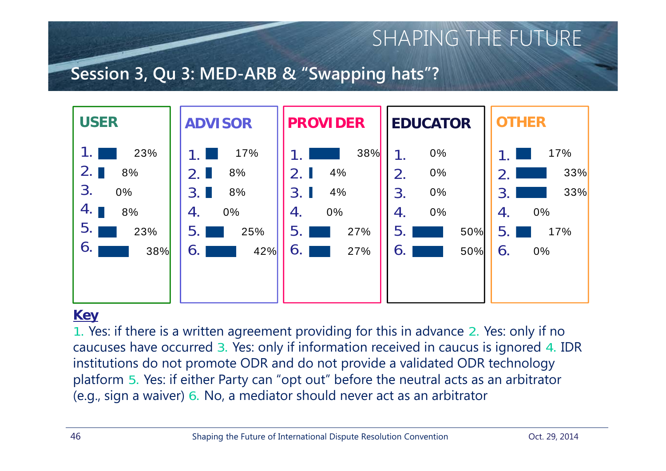### **Session 3, Qu 3: MED-ARB & "Swapping hats"?**



#### **Key**

1. Yes: if there is a written agreement providing for this in advance 2. Yes: only if no caucuses have occurred 3. Yes: only if information received in caucus is ignored 4. IDR institutions do not promote ODR and do not provide a validated ODR technology platform 5. Yes: if either Party can "opt out" before the neutral acts as an arbitrator (e.g., sign a waiver) 6. No, a mediator should never act as an arbitrator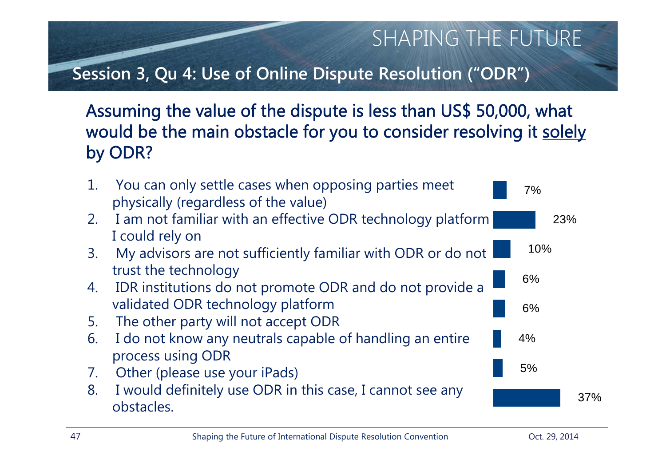## **Session 3, Qu 4: Use of Online Dispute Resolution ("ODR")**

### Assuming the value of the dispute is less than US\$ 50,000, what would be the main obstacle for you to consider resolving it solely by ODR?

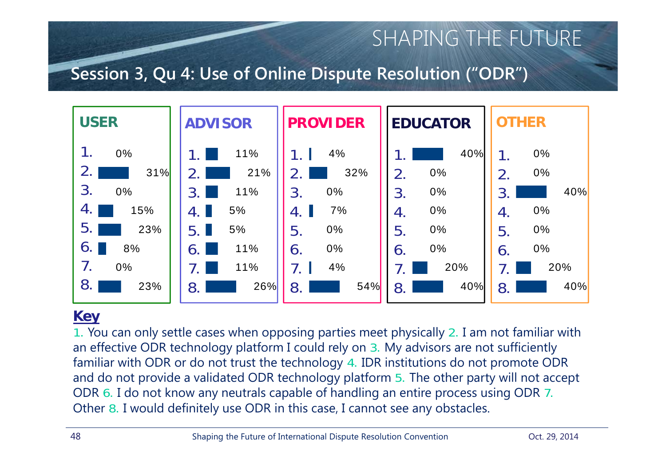### **Session 3, Qu 4: Use of Online Dispute Resolution ("ODR")**



#### **Key**

1. You can only settle cases when opposing parties meet physically 2. I am not familiar with an effective ODR technology platform I could rely on 3. My advisors are not sufficiently familiar with ODR or do not trust the technology 4. IDR institutions do not promote ODR and do not provide a validated ODR technology platform 5. The other party will not accept ODR 6. I do not know any neutrals capable of handling an entire process using ODR 7. Other 8. I would definitely use ODR in this case, I cannot see any obstacles.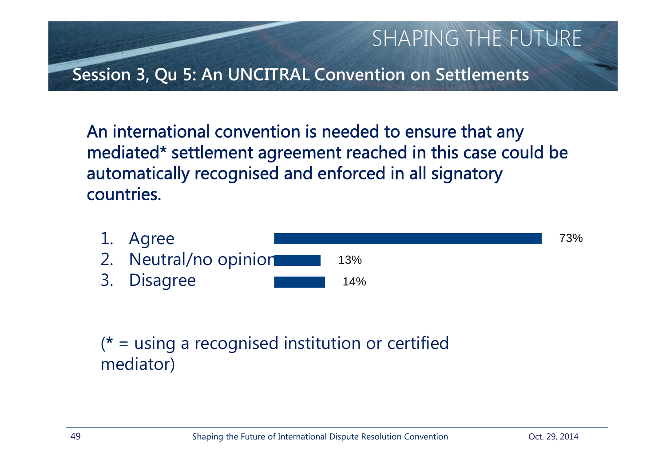

An international convention is needed to ensure that any mediated\* settlement agreement reached in this case could be automatically recognised and enforced in all signatory countries.



(\* = using a recognised institution or certified mediator)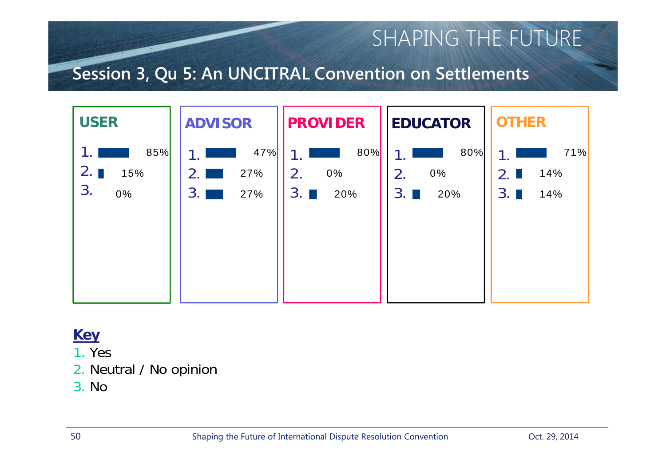### **Session 3, Qu 5: An UNCITRAL Convention on Settlements**



- 1. Yes
- 2. Neutral / No opinion
- 3. No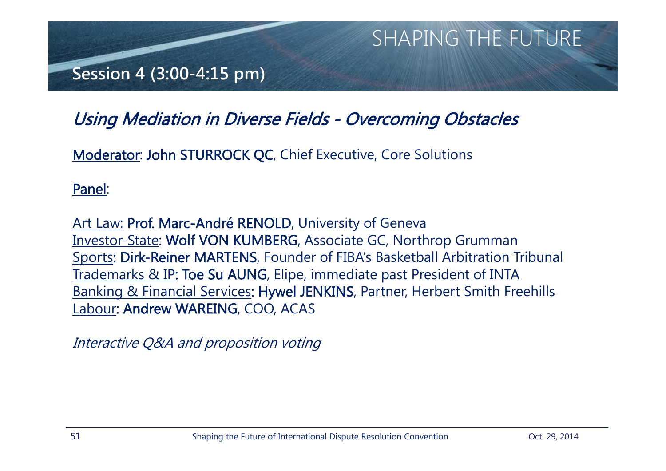

### Using Mediation in Diverse Fields - Overcoming Obstacles

Moderator: John STURROCK QC, Chief Executive, Core Solutions

Panel:

<u>Art Law:</u> Prof. Marc-André RENOLD, University of Geneva Investor-State: Wolf VON KUMBERG, Associate GC, Northrop Grumman Sports: Dirk-Reiner MARTENS, Founder of FIBA's Basketball Arbitration Tribunal Trademarks & IP: Toe Su AUNG, Elipe, immediate past President of INTA Banking & Financial Services: Hywel JENKINS, Partner, Herbert Smith Freehills Labour: Andrew WAREING, COO, ACAS

Interactive Q&A and proposition voting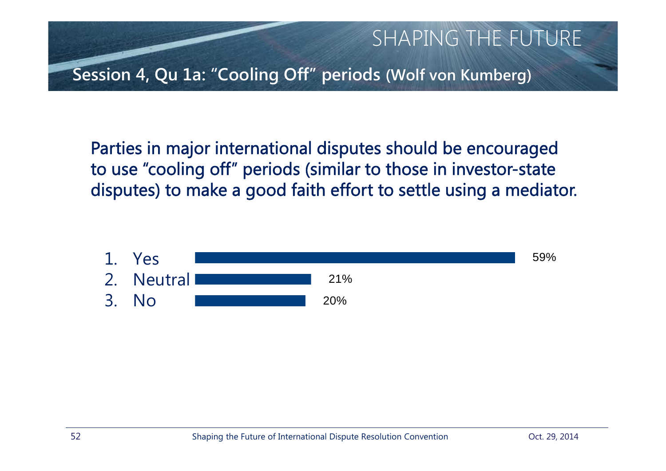

Parties in major international disputes should be encouraged to use "cooling off" periods (similar to those in investor-state disputes) to make a good faith effort to settle using a mediator.

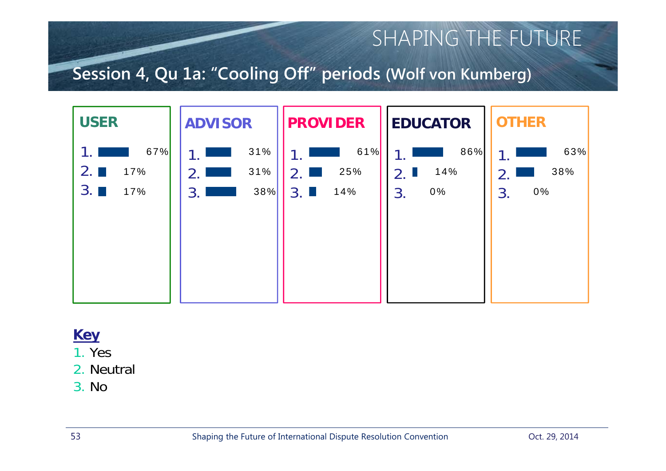### **Session 4, Qu 1a: "Cooling Off" periods (Wolf von Kumberg)**



#### **Key**

1. Yes

- 2. Neutral
- 3. No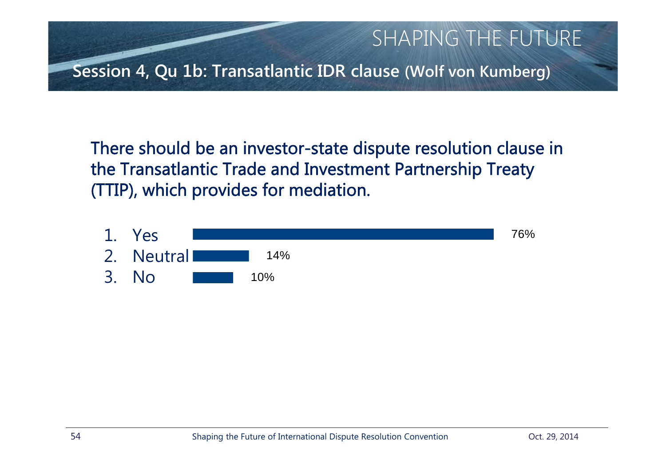

There should be an investor-state dispute resolution clause in the Transatlantic Trade and Investment Partnership Treaty (TTIP), which provides for mediation.

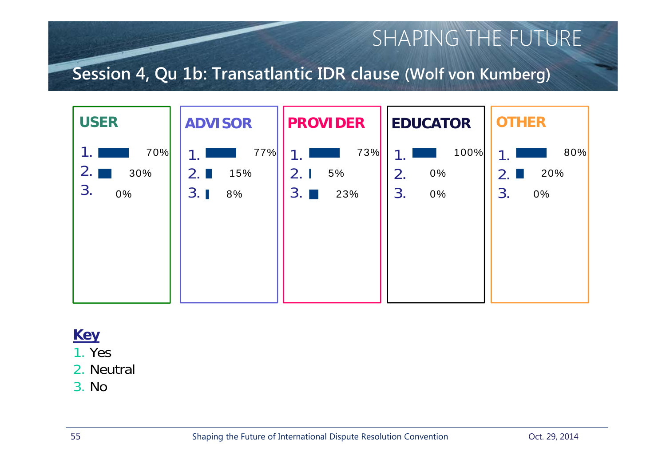### **Session 4, Qu 1b: Transatlantic IDR clause (Wolf von Kumberg)**



#### **Key**

1. Yes

2. Neutral

3. No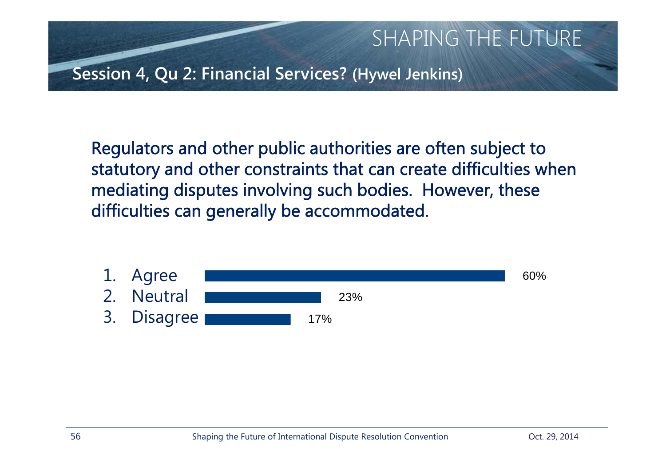

Regulators and other public authorities are often subject to statutory and other constraints that can create difficulties when mediating disputes involving such bodies. However, these difficulties can generally be accommodated.

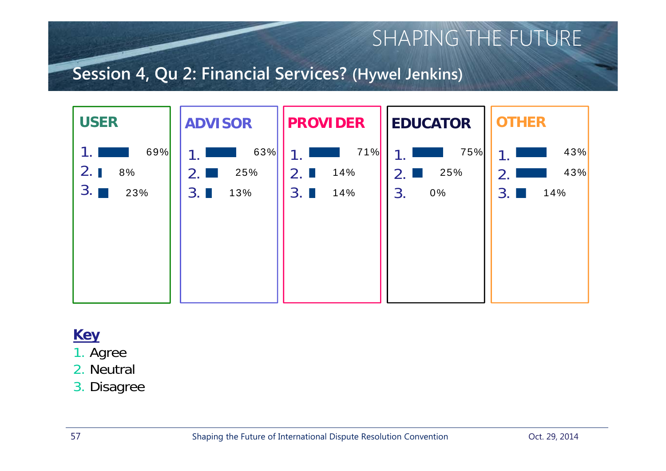### **Session 4, Qu 2: Financial Services? (Hywel Jenkins)**



- 1. Agree
- 2. Neutral
- 3. Disagree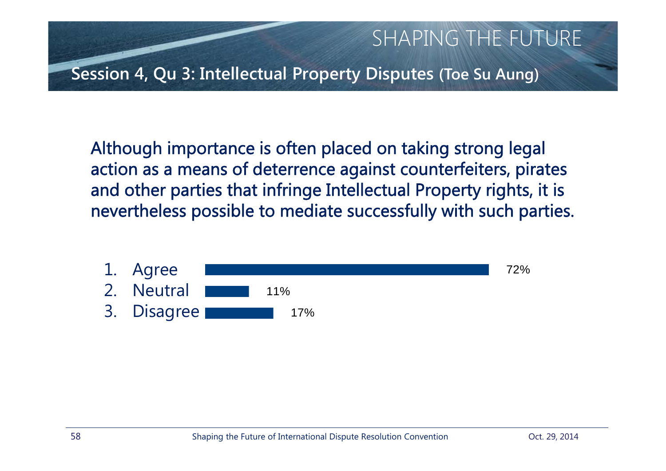

Although importance is often placed on taking strong legal action as a means of deterrence against counterfeiters, pirates and other parties that infringe Intellectual Property rights, it is nevertheless possible to mediate successfully with such parties.

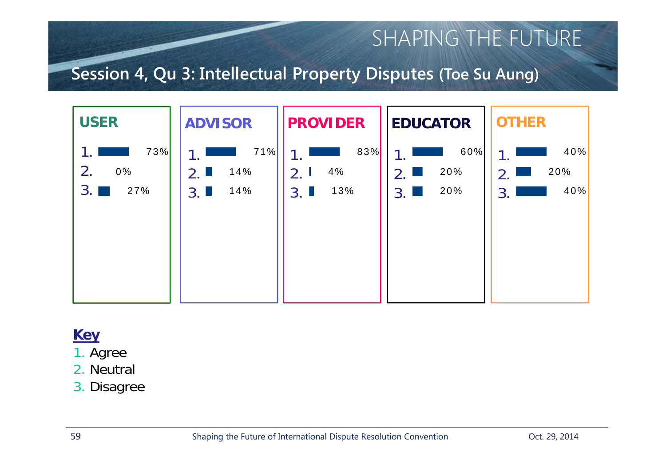### **Session 4, Qu 3: Intellectual Property Disputes (Toe Su Aung)**



- 1. Agree
- 2. Neutral
- 3. Disagree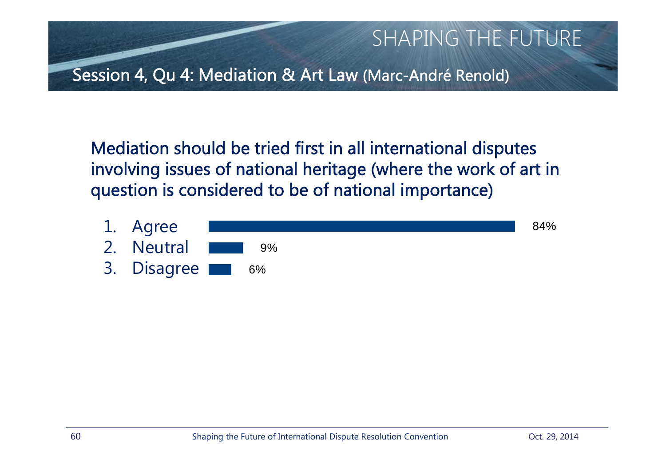

Mediation should be tried first in all international disputes involving issues of national heritage (where the work of art in question is considered to be of national importance)

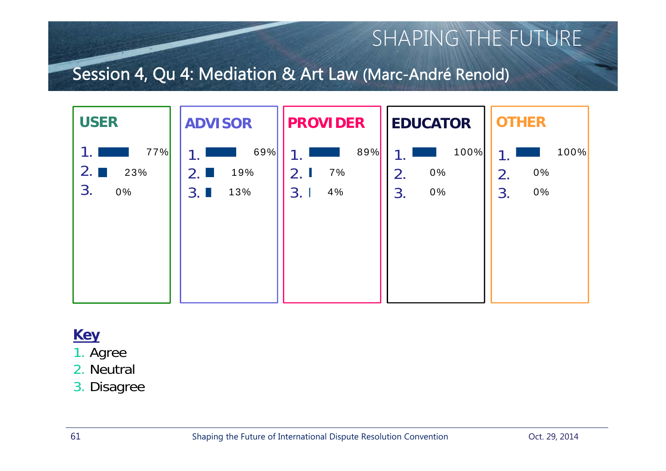### Session 4, Qu 4: Mediation & Art Law (Marc-André Renold)



- 1. Agree
- 2. Neutral
- 3. Disagree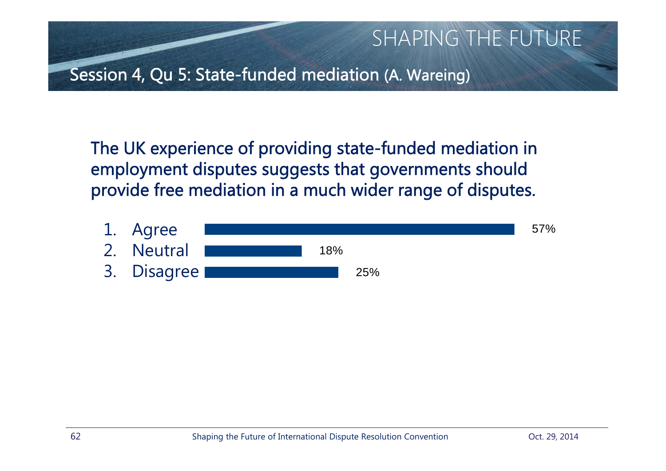

The UK experience of providing state-funded mediation in employment disputes suggests that governments should provide free mediation in a much wider range of disputes.

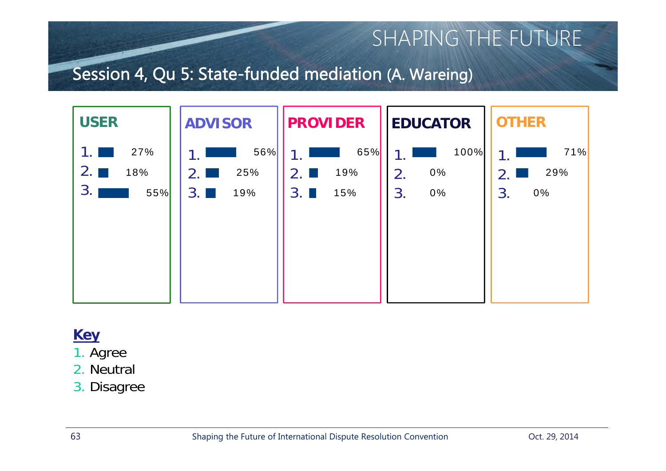### Session 4, Qu 5: State-funded mediation (A. Wareing)



- 1. Agree
- 2. Neutral
- 3. Disagree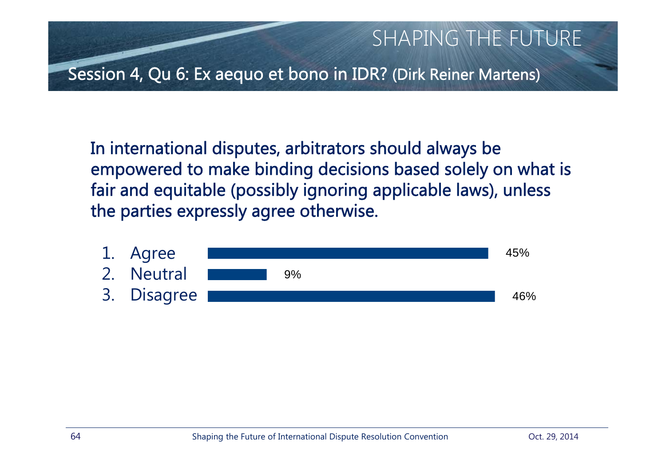

In international disputes, arbitrators should always be empowered to make binding decisions based solely on what is fair and equitable (possibly ignoring applicable laws), unless the parties expressly agree otherwise.

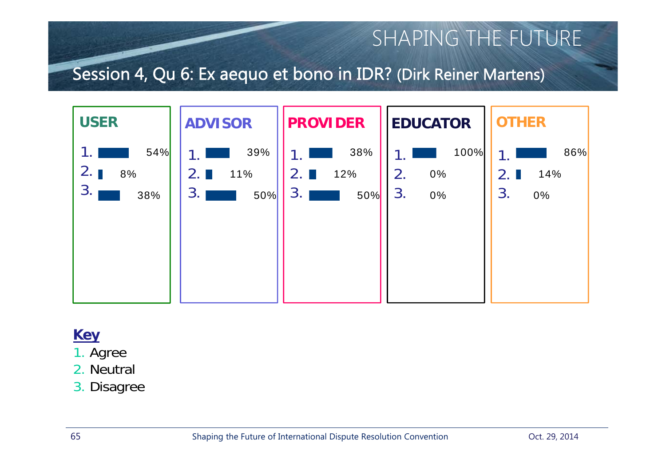### Session 4, Qu 6: Ex aequo et bono in IDR? (Dirk Reiner Martens)



- 1. Agree
- 2. Neutral
- 3. Disagree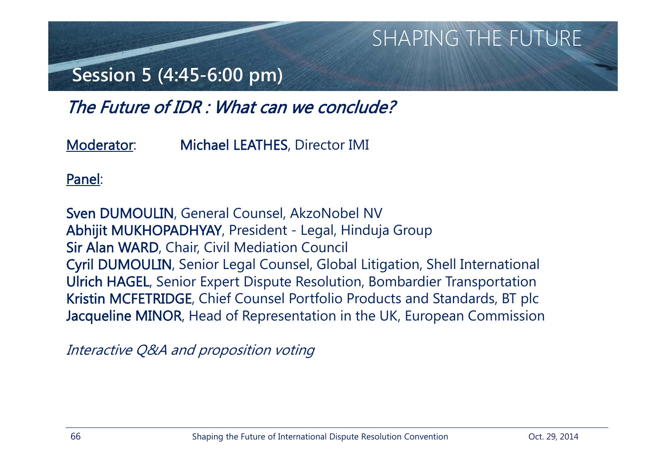## **Session 5 (4:45-6:00 pm)**

The Future of IDR : What can we conclude?

Moderator: Michael LEATHES, Director IMI

Panel:

Sven DUMOULIN, General Counsel, AkzoNobel NV Abhijit MUKHOPADHYAY, President - Legal, Hinduja Group Sir Alan WARD, Chair, Civil Mediation Council Cyril DUMOULIN, Senior Legal Counsel, Global Litigation, Shell International Ulrich HAGEL, Senior Expert Dispute Resolution, Bombardier Transportation Kristin MCFETRIDGE, Chief Counsel Portfolio Products and Standards, BT plc Jacqueline MINOR, Head of Representation in the UK, European Commission

Interactive Q&A and proposition voting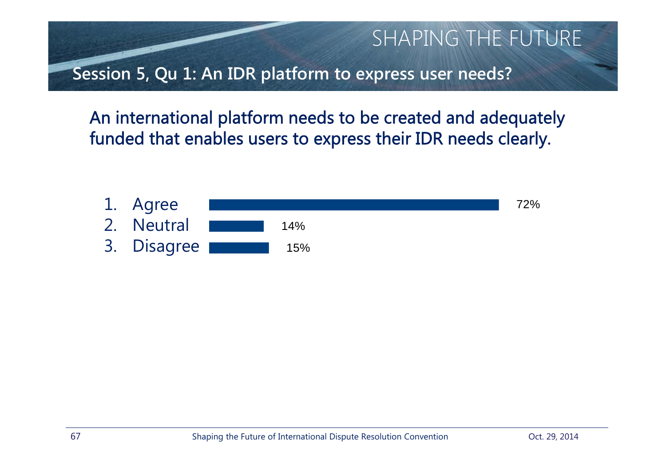SHAPING THE FUTURE **Session 5, Qu 1: An IDR platform to express user needs?**

An international platform needs to be created and adequately funded that enables users to express their IDR needs clearly.

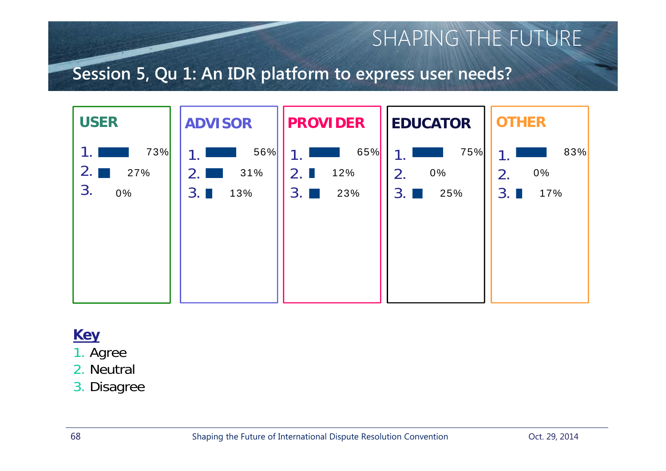### **Session 5, Qu 1: An IDR platform to express user needs?**



- 1. Agree
- 2. Neutral
- 3. Disagree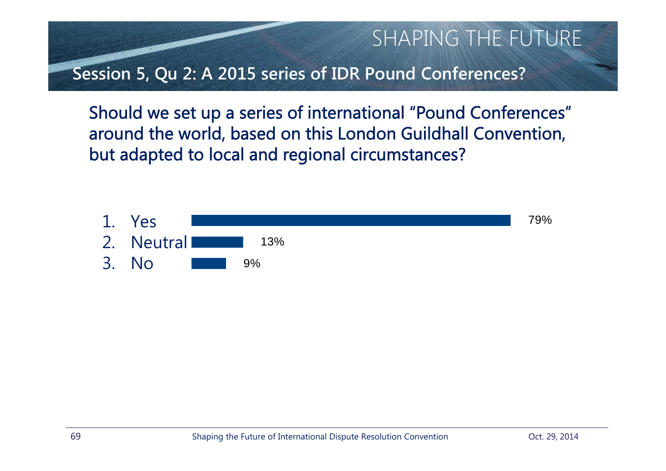

Should we set up a series of international "Pound Conferences" around the world, based on this London Guildhall Convention, but adapted to local and regional circumstances?

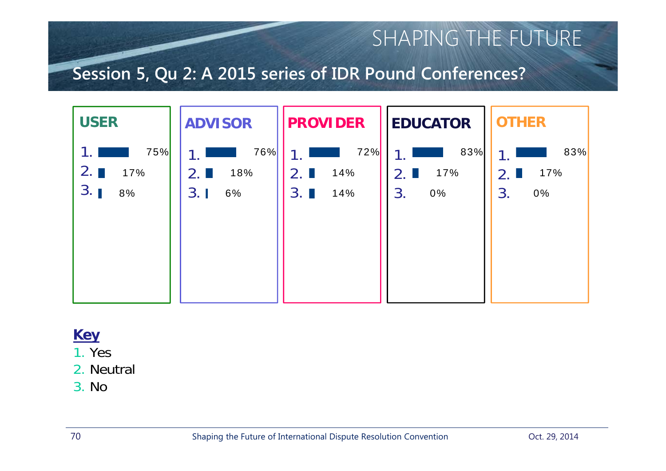### **Session 5, Qu 2: A 2015 series of IDR Pound Conferences?**



#### **Key**

1. Yes

2. Neutral

3. No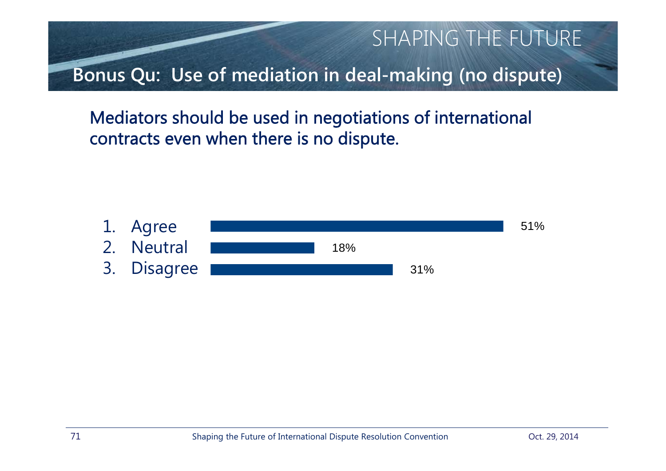SHAPING THE FUTURE **Bonus Qu: Use of mediation in deal-making (no dispute)**

Mediators should be used in negotiations of international contracts even when there is no dispute.

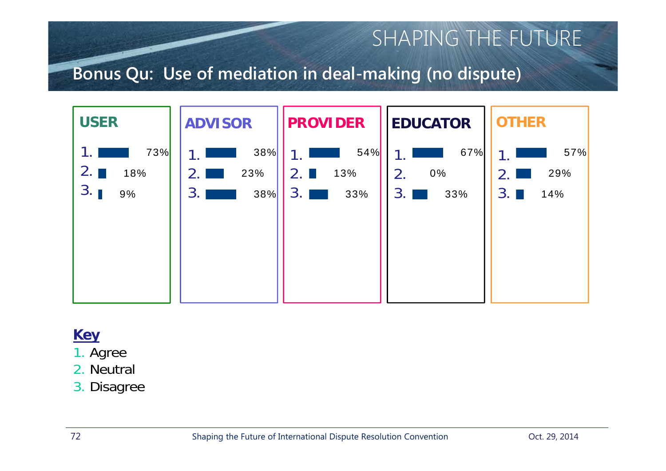### **Bonus Qu: Use of mediation in deal-making (no dispute)**



- 1. Agree
- 2. Neutral
- 3. Disagree